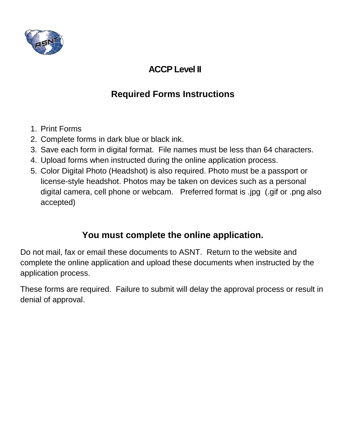

## **ACCP Level II**

# **Required Forms Instructions**

- 1. Print Forms
- 2. Complete forms in dark blue or black ink.
- 3. Save each form in digital format. File names must be less than 64 characters.
- 4. Upload forms when instructed during the online application process.
- 5. Color Digital Photo (Headshot) is also required. Photo must be a passport or license-style headshot. Photos may be taken on devices such as a personal digital camera, cell phone or webcam. Preferred format is .jpg (.gif or .png also accepted)

## **You must complete the online application.**

Do not mail, fax or email these documents to ASNT. Return to the website and complete the online application and upload these documents when instructed by the application process.

These forms are required. Failure to submit will delay the approval process or result in denial of approval.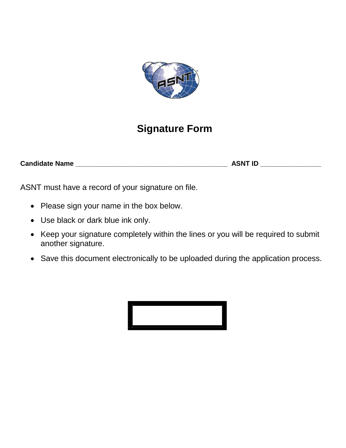

# **Signature Form**

**Candidate Name \_\_\_\_\_\_\_\_\_\_\_\_\_\_\_\_\_\_\_\_\_\_\_\_\_\_\_\_\_\_\_\_\_\_\_\_\_\_\_\_ ASNT ID \_\_\_\_\_\_\_\_\_\_\_\_\_\_\_\_**

ASNT must have a record of your signature on file.

- Please sign your name in the box below.
- Use black or dark blue ink only.
- Keep your signature completely within the lines or you will be required to submit another signature.
- Save this document electronically to be uploaded during the application process.

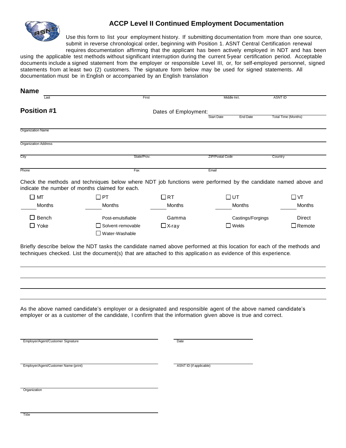

#### **ACCP Level II Continued Employment Documentation**

Use this form to list your employment history. If submitting documentation from more than one source, submit in reverse chronological order, beginning with Position 1. ASNT Central Certification renewal requires documentation affirming that the applicant has been actively employed in NDT and has been

using the applicable test methods without significant interruption during the current 5-year certification period. Acceptable documents include a signed statement from the employer or responsible Level III, or, for self-employed personnel, signed statements from at least two (2) customers. The signature form below may be used for signed statements. All documentation must be in English or accompanied by an English translation

| <b>Name</b>                          |                                                                                                                                                                                                                                         |                         |                                      |                            |
|--------------------------------------|-----------------------------------------------------------------------------------------------------------------------------------------------------------------------------------------------------------------------------------------|-------------------------|--------------------------------------|----------------------------|
| Last                                 | First                                                                                                                                                                                                                                   |                         | Middle Init.                         | <b>ASNT ID</b>             |
| <b>Position #1</b>                   |                                                                                                                                                                                                                                         | Dates of Employment:    |                                      |                            |
|                                      |                                                                                                                                                                                                                                         |                         | <b>Start Date</b><br><b>End Date</b> | <b>Total Time (Months)</b> |
| Organization Name                    |                                                                                                                                                                                                                                         |                         |                                      |                            |
| <b>Organization Address</b>          |                                                                                                                                                                                                                                         |                         |                                      |                            |
| City                                 | State/Prov.                                                                                                                                                                                                                             |                         | <b>ZIP/Postal Code</b>               | Country                    |
| Phone                                | Fax                                                                                                                                                                                                                                     |                         | Email                                |                            |
|                                      | Check the methods and techniques below where NDT job functions were performed by the candidate named above and<br>indicate the number of months claimed for each.                                                                       |                         |                                      |                            |
| $\square$ MT                         | $\square$ PT                                                                                                                                                                                                                            | $\Box$ RT               | $\square$ UT                         | $\square$ VT               |
| Months                               | Months                                                                                                                                                                                                                                  | Months                  | Months                               | <b>Months</b>              |
| $\Box$ Bench                         | Post-emulsifiable                                                                                                                                                                                                                       | Gamma                   | Castings/Forgings                    | Direct                     |
| $\Box$ Yoke                          | Solvent-removable<br>$\Box$ Water-Washable                                                                                                                                                                                              | $\Box$ X-ray            | $\Box$ Welds                         | $\Box$ Remote              |
|                                      | Briefly describe below the NDT tasks the candidate named above performed at this location for each of the methods and<br>techniques checked. List the document(s) that are attached to this application as evidence of this experience. |                         |                                      |                            |
|                                      | As the above named candidate's employer or a designated and responsible agent of the above named candidate's<br>employer or as a customer of the candidate, I confirm that the information given above is true and correct.             |                         |                                      |                            |
| Employer/Agent/Customer Signature    |                                                                                                                                                                                                                                         | Date                    |                                      |                            |
| Employer/Agent/Customer Name (print) |                                                                                                                                                                                                                                         | ASNT ID (if applicable) |                                      |                            |
| Organization                         |                                                                                                                                                                                                                                         |                         |                                      |                            |

**Title**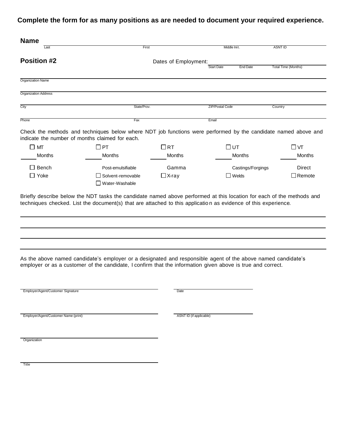|                             | First                | Middle Init.           | <b>ASNT ID</b>                                |
|-----------------------------|----------------------|------------------------|-----------------------------------------------|
| <b>Position #2</b>          | Dates of Employment: |                        |                                               |
|                             |                      | <b>Start Date</b>      | <b>Total Time (Months)</b><br><b>End Date</b> |
| Organization Name           |                      |                        |                                               |
| <b>Organization Address</b> |                      |                        |                                               |
| City                        | State/Prov.          | <b>ZIP/Postal Code</b> | Country                                       |
| Phone                       | Fax                  | Email                  |                                               |

|        | וויסגט וטויסט טומונט טוויוי וט וטאוווטר טווי טאסייו |              |                   |                  |
|--------|-----------------------------------------------------|--------------|-------------------|------------------|
| l MT   | $\Box$ PT                                           | $\Box$ RT    | $\square$ UT      | $\Box$ $\forall$ |
| Months | <b>Months</b>                                       | Months       | Months            | Months           |
| Bench  | Post-emulsifiable                                   | Gamma        | Castings/Forgings | <b>Direct</b>    |
| Yoke   | $\Box$ Solvent-removable<br>$\Box$ Water-Washable   | $\Box$ X-ray | Welds             | $\Box$ Remote    |
|        |                                                     |              |                   |                  |

Briefly describe below the NDT tasks the candidate named above performed at this location for each of the methods and techniques checked. List the document(s) that are attached to this applicatio n as evidence of this experience.

As the above named candidate's employer or a designated and responsible agent of the above named candidate's employer or as a customer of the candidate, I confirm that the information given above is true and correct.

| Employer/Agent/Customer Signature    | Date                    |  |
|--------------------------------------|-------------------------|--|
| Employer/Agent/Customer Name (print) | ASNT ID (if applicable) |  |
| Organization                         |                         |  |
|                                      |                         |  |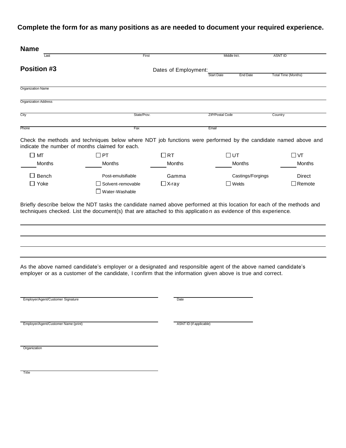| <b>Name</b>                          |                                                                                                                                                                                                                             |                         |                                      |                            |
|--------------------------------------|-----------------------------------------------------------------------------------------------------------------------------------------------------------------------------------------------------------------------------|-------------------------|--------------------------------------|----------------------------|
| Last                                 | First                                                                                                                                                                                                                       |                         | Middle Init.                         | <b>ASNT ID</b>             |
| <b>Position #3</b>                   |                                                                                                                                                                                                                             | Dates of Employment:    |                                      |                            |
|                                      |                                                                                                                                                                                                                             |                         | <b>Start Date</b><br><b>End Date</b> | <b>Total Time (Months)</b> |
| Organization Name                    |                                                                                                                                                                                                                             |                         |                                      |                            |
| <b>Organization Address</b>          |                                                                                                                                                                                                                             |                         |                                      |                            |
| City                                 | State/Prov.                                                                                                                                                                                                                 |                         | <b>ZIP/Postal Code</b>               | Country                    |
|                                      |                                                                                                                                                                                                                             |                         |                                      |                            |
| Phone                                | Fax                                                                                                                                                                                                                         |                         | Email                                |                            |
|                                      | Check the methods and techniques below where NDT job functions were performed by the candidate named above and<br>indicate the number of months claimed for each.                                                           |                         |                                      |                            |
| $\square$ MT                         | $\Box$ PT                                                                                                                                                                                                                   | $\Box$ RT               | □∪т                                  | $\square$ VT               |
| <b>Months</b>                        | Months                                                                                                                                                                                                                      | <b>Months</b>           | Months                               | Months                     |
| $\Box$ Bench                         | Post-emulsifiable                                                                                                                                                                                                           | Gamma                   | Castings/Forgings                    | Direct                     |
| $\Box$ Yoke                          | $\Box$ Solvent-removable                                                                                                                                                                                                    | $\Box$ X-ray            | $\Box$ Welds                         | $\Box$ Remote              |
|                                      | Water-Washable                                                                                                                                                                                                              |                         |                                      |                            |
|                                      |                                                                                                                                                                                                                             |                         |                                      |                            |
|                                      |                                                                                                                                                                                                                             |                         |                                      |                            |
|                                      | As the above named candidate's employer or a designated and responsible agent of the above named candidate's<br>employer or as a customer of the candidate, I confirm that the information given above is true and correct. |                         |                                      |                            |
| Employer/Agent/Customer Signature    |                                                                                                                                                                                                                             | Date                    |                                      |                            |
|                                      |                                                                                                                                                                                                                             |                         |                                      |                            |
| Employer/Agent/Customer Name (print) |                                                                                                                                                                                                                             | ASNT ID (if applicable) |                                      |                            |
|                                      |                                                                                                                                                                                                                             |                         |                                      |                            |
| Organization                         |                                                                                                                                                                                                                             |                         |                                      |                            |
|                                      |                                                                                                                                                                                                                             |                         |                                      |                            |
|                                      |                                                                                                                                                                                                                             |                         |                                      |                            |
| Title                                |                                                                                                                                                                                                                             |                         |                                      |                            |
|                                      |                                                                                                                                                                                                                             |                         |                                      |                            |
|                                      |                                                                                                                                                                                                                             |                         |                                      |                            |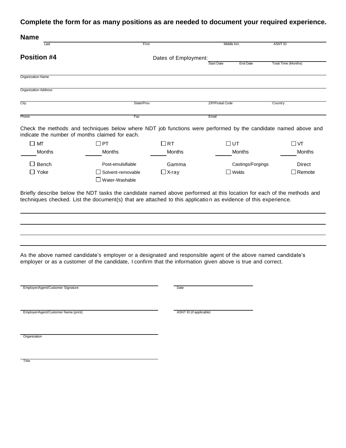| <b>Name</b>                          |                                                                                                                                                                   |                         |                                      |                            |
|--------------------------------------|-------------------------------------------------------------------------------------------------------------------------------------------------------------------|-------------------------|--------------------------------------|----------------------------|
| Last                                 |                                                                                                                                                                   | First                   | Middle Init.                         | <b>ASNT ID</b>             |
| <b>Position #4</b>                   |                                                                                                                                                                   | Dates of Employment:    |                                      |                            |
|                                      |                                                                                                                                                                   |                         | <b>Start Date</b><br><b>End Date</b> | <b>Total Time (Months)</b> |
| Organization Name                    |                                                                                                                                                                   |                         |                                      |                            |
|                                      |                                                                                                                                                                   |                         |                                      |                            |
| <b>Organization Address</b>          |                                                                                                                                                                   |                         |                                      |                            |
| City                                 | State/Prov.                                                                                                                                                       |                         | ZIP/Postal Code                      | Country                    |
| Phone                                | Fax                                                                                                                                                               |                         | Email                                |                            |
|                                      |                                                                                                                                                                   |                         |                                      |                            |
|                                      | Check the methods and techniques below where NDT job functions were performed by the candidate named above and<br>indicate the number of months claimed for each. |                         |                                      |                            |
| $\square$ MT                         | $\Box$ PT                                                                                                                                                         | $\Box$ RT               | □∪т                                  | $\Box$ VT                  |
| Months                               | Months                                                                                                                                                            | Months                  | Months                               | Months                     |
| $\Box$ Bench                         | Post-emulsifiable                                                                                                                                                 | Gamma                   | Castings/Forgings                    | Direct                     |
| $\Box$ Yoke                          | Solvent-removable                                                                                                                                                 | $\Box$ X-ray            | $\Box$ Welds                         | $\Box$ Remote              |
|                                      | Water-Washable                                                                                                                                                    |                         |                                      |                            |
|                                      |                                                                                                                                                                   |                         |                                      |                            |
|                                      | As the above named candidate's employer or a designated and responsible agent of the above named candidate's                                                      |                         |                                      |                            |
|                                      | employer or as a customer of the candidate, I confirm that the information given above is true and correct.                                                       |                         |                                      |                            |
| Employer/Agent/Customer Signature    |                                                                                                                                                                   | Date                    |                                      |                            |
|                                      |                                                                                                                                                                   |                         |                                      |                            |
| Employer/Agent/Customer Name (print) |                                                                                                                                                                   | ASNT ID (if applicable) |                                      |                            |
| Organization                         |                                                                                                                                                                   |                         |                                      |                            |
|                                      |                                                                                                                                                                   |                         |                                      |                            |
|                                      |                                                                                                                                                                   |                         |                                      |                            |
| <b>Title</b>                         |                                                                                                                                                                   |                         |                                      |                            |
|                                      |                                                                                                                                                                   |                         |                                      |                            |
|                                      |                                                                                                                                                                   |                         |                                      |                            |
|                                      |                                                                                                                                                                   |                         |                                      |                            |